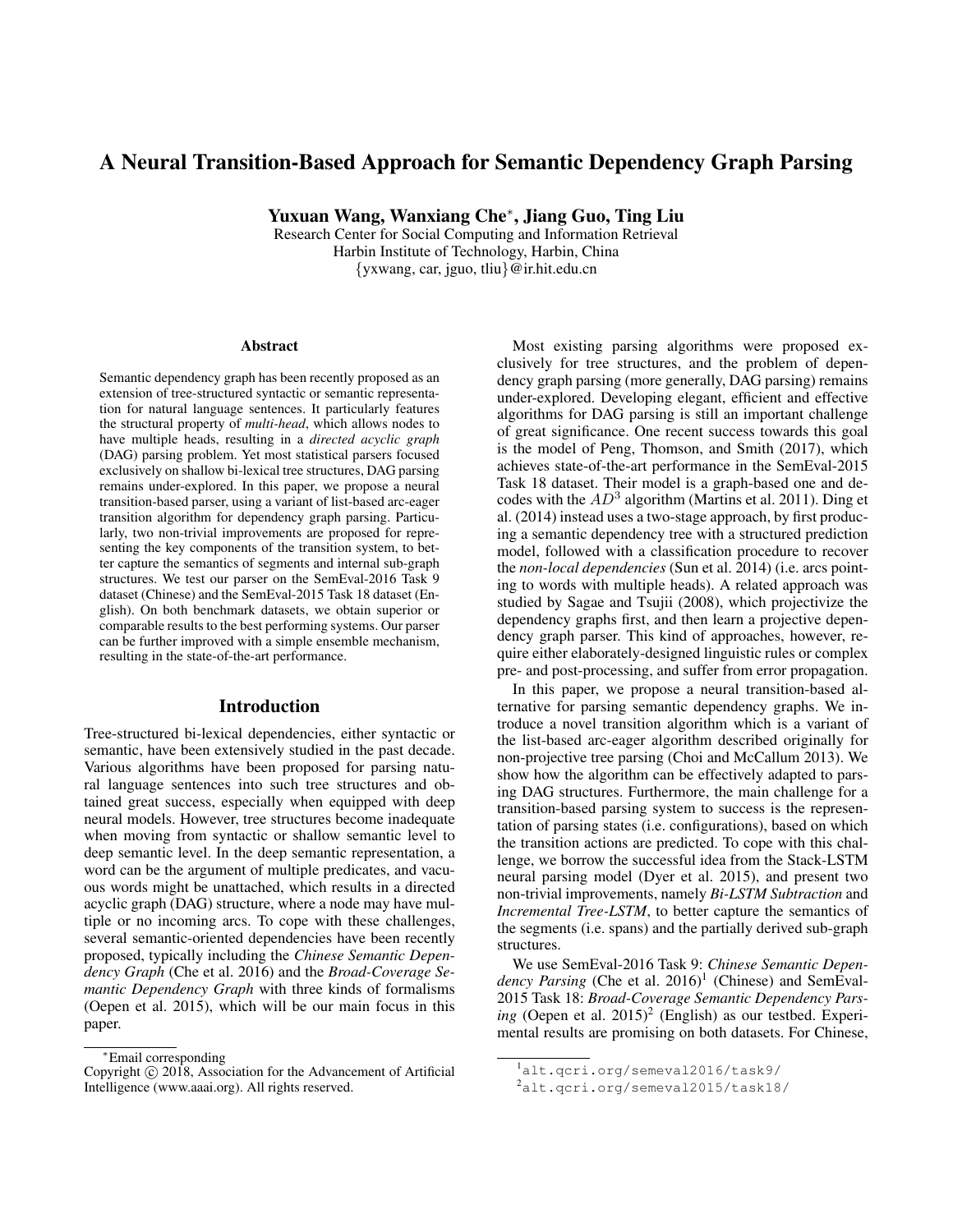# A Neural Transition-Based Approach for Semantic Dependency Graph Parsing

Yuxuan Wang, Wanxiang Che<sup>∗</sup> , Jiang Guo, Ting Liu

Research Center for Social Computing and Information Retrieval Harbin Institute of Technology, Harbin, China {yxwang, car, jguo, tliu}@ir.hit.edu.cn

#### Abstract

Semantic dependency graph has been recently proposed as an extension of tree-structured syntactic or semantic representation for natural language sentences. It particularly features the structural property of *multi-head*, which allows nodes to have multiple heads, resulting in a *directed acyclic graph* (DAG) parsing problem. Yet most statistical parsers focused exclusively on shallow bi-lexical tree structures, DAG parsing remains under-explored. In this paper, we propose a neural transition-based parser, using a variant of list-based arc-eager transition algorithm for dependency graph parsing. Particularly, two non-trivial improvements are proposed for representing the key components of the transition system, to better capture the semantics of segments and internal sub-graph structures. We test our parser on the SemEval-2016 Task 9 dataset (Chinese) and the SemEval-2015 Task 18 dataset (English). On both benchmark datasets, we obtain superior or comparable results to the best performing systems. Our parser can be further improved with a simple ensemble mechanism, resulting in the state-of-the-art performance.

## Introduction

Tree-structured bi-lexical dependencies, either syntactic or semantic, have been extensively studied in the past decade. Various algorithms have been proposed for parsing natural language sentences into such tree structures and obtained great success, especially when equipped with deep neural models. However, tree structures become inadequate when moving from syntactic or shallow semantic level to deep semantic level. In the deep semantic representation, a word can be the argument of multiple predicates, and vacuous words might be unattached, which results in a directed acyclic graph (DAG) structure, where a node may have multiple or no incoming arcs. To cope with these challenges, several semantic-oriented dependencies have been recently proposed, typically including the *Chinese Semantic Dependency Graph* (Che et al. 2016) and the *Broad-Coverage Semantic Dependency Graph* with three kinds of formalisms (Oepen et al. 2015), which will be our main focus in this paper.

Most existing parsing algorithms were proposed exclusively for tree structures, and the problem of dependency graph parsing (more generally, DAG parsing) remains under-explored. Developing elegant, efficient and effective algorithms for DAG parsing is still an important challenge of great significance. One recent success towards this goal is the model of Peng, Thomson, and Smith (2017), which achieves state-of-the-art performance in the SemEval-2015 Task 18 dataset. Their model is a graph-based one and decodes with the  $AD^3$  algorithm (Martins et al. 2011). Ding et al. (2014) instead uses a two-stage approach, by first producing a semantic dependency tree with a structured prediction model, followed with a classification procedure to recover the *non-local dependencies* (Sun et al. 2014) (i.e. arcs pointing to words with multiple heads). A related approach was studied by Sagae and Tsujii (2008), which projectivize the dependency graphs first, and then learn a projective dependency graph parser. This kind of approaches, however, require either elaborately-designed linguistic rules or complex pre- and post-processing, and suffer from error propagation.

In this paper, we propose a neural transition-based alternative for parsing semantic dependency graphs. We introduce a novel transition algorithm which is a variant of the list-based arc-eager algorithm described originally for non-projective tree parsing (Choi and McCallum 2013). We show how the algorithm can be effectively adapted to parsing DAG structures. Furthermore, the main challenge for a transition-based parsing system to success is the representation of parsing states (i.e. configurations), based on which the transition actions are predicted. To cope with this challenge, we borrow the successful idea from the Stack-LSTM neural parsing model (Dyer et al. 2015), and present two non-trivial improvements, namely *Bi-LSTM Subtraction* and *Incremental Tree-LSTM*, to better capture the semantics of the segments (i.e. spans) and the partially derived sub-graph structures.

We use SemEval-2016 Task 9: *Chinese Semantic Depen*dency Parsing (Che et al. 2016)<sup>1</sup> (Chinese) and SemEval-2015 Task 18: *Broad-Coverage Semantic Dependency Pars*ing (Oepen et al. 2015)<sup>2</sup> (English) as our testbed. Experimental results are promising on both datasets. For Chinese,

<sup>∗</sup>Email corresponding

Copyright © 2018, Association for the Advancement of Artificial Intelligence (www.aaai.org). All rights reserved.

<sup>1</sup>alt.qcri.org/semeval2016/task9/

<sup>2</sup>alt.qcri.org/semeval2015/task18/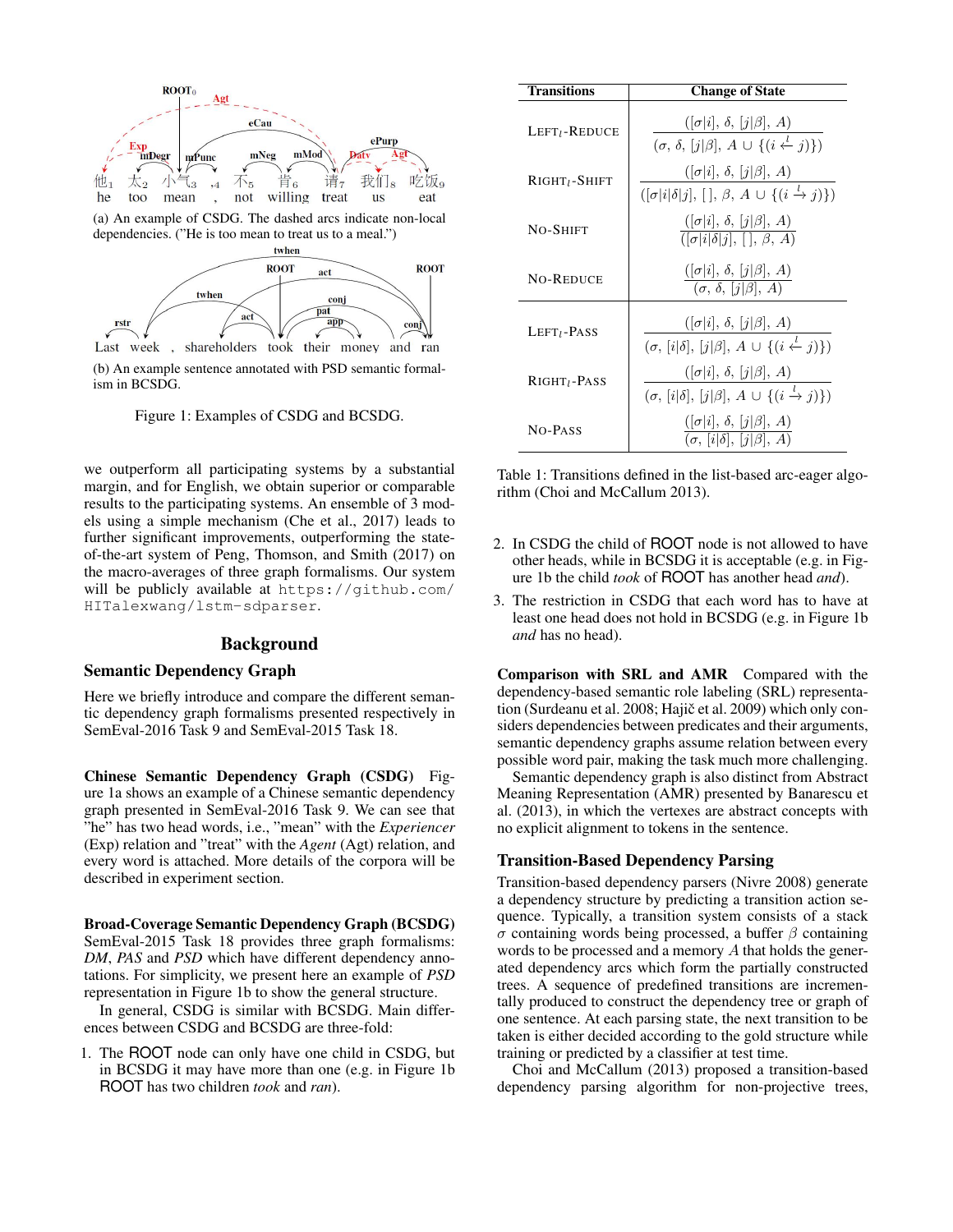

(b) An example sentence annotated with PSD semantic formalism in BCSDG.

Figure 1: Examples of CSDG and BCSDG.

we outperform all participating systems by a substantial margin, and for English, we obtain superior or comparable results to the participating systems. An ensemble of 3 models using a simple mechanism (Che et al., 2017) leads to further significant improvements, outperforming the stateof-the-art system of Peng, Thomson, and Smith (2017) on the macro-averages of three graph formalisms. Our system will be publicly available at https://github.com/ HITalexwang/lstm-sdparser.

### Background

## Semantic Dependency Graph

Here we briefly introduce and compare the different semantic dependency graph formalisms presented respectively in SemEval-2016 Task 9 and SemEval-2015 Task 18.

Chinese Semantic Dependency Graph (CSDG) Figure 1a shows an example of a Chinese semantic dependency graph presented in SemEval-2016 Task 9. We can see that "he" has two head words, i.e., "mean" with the *Experiencer* (Exp) relation and "treat" with the *Agent* (Agt) relation, and every word is attached. More details of the corpora will be described in experiment section.

Broad-Coverage Semantic Dependency Graph (BCSDG) SemEval-2015 Task 18 provides three graph formalisms: *DM*, *PAS* and *PSD* which have different dependency annotations. For simplicity, we present here an example of *PSD* representation in Figure 1b to show the general structure.

In general, CSDG is similar with BCSDG. Main differences between CSDG and BCSDG are three-fold:

1. The ROOT node can only have one child in CSDG, but in BCSDG it may have more than one (e.g. in Figure 1b ROOT has two children *took* and *ran*).

| Transitions                  | <b>Change of State</b>                                                                                                            |
|------------------------------|-----------------------------------------------------------------------------------------------------------------------------------|
| $LEFTl$ -Reduce              | $( \sigma i , \delta,  j \beta , A)$<br>$(\sigma, \delta, [j \beta], A \cup \{(i \stackrel{l}{\leftarrow} j)\})$                  |
| $R$ IGHT <sub>l</sub> -SHIFT | $( \sigma i , \delta,  j \beta , A)$<br>$([\sigma   i   \delta   j], [\cdot], \beta, A \cup \{(i \stackrel{l}{\rightarrow} j)\})$ |
| <b>NO-SHIFT</b>              | $\frac{([\sigma   i], \delta, [j   \beta], A)}{([\sigma   i   \delta   j], [], \beta, A)}$                                        |
| <b>NO-REDUCE</b>             | $([\sigma   i], \delta, [j   \beta], A)$<br>$(\sigma, \delta, [j \beta], A)$                                                      |
| $LEFTl$ -Pass                | $([\sigma   i], \delta, [j   \beta], A)$<br>$(\sigma, [i \delta], [j \beta], A \cup \{(i \leftarrow j)\})$                        |
| $R$ IGHT <sub>I</sub> -PASS  | $([\sigma   i], \delta, [j   \beta], A)$<br>$(\sigma, [i \delta], [j \beta], A \cup \{(i \xrightarrow{l} j)\})$                   |
| NO-PASS                      | $([\sigma   i], \delta, [j   \beta], A)$<br>$\overline{(\sigma, [i]\delta], [j]\beta], A}$                                        |

Table 1: Transitions defined in the list-based arc-eager algorithm (Choi and McCallum 2013).

- 2. In CSDG the child of ROOT node is not allowed to have other heads, while in BCSDG it is acceptable (e.g. in Figure 1b the child *took* of ROOT has another head *and*).
- 3. The restriction in CSDG that each word has to have at least one head does not hold in BCSDG (e.g. in Figure 1b *and* has no head).

Comparison with SRL and AMR Compared with the dependency-based semantic role labeling (SRL) representation (Surdeanu et al. 2008; Hajič et al. 2009) which only considers dependencies between predicates and their arguments, semantic dependency graphs assume relation between every possible word pair, making the task much more challenging.

Semantic dependency graph is also distinct from Abstract Meaning Representation (AMR) presented by Banarescu et al. (2013), in which the vertexes are abstract concepts with no explicit alignment to tokens in the sentence.

#### Transition-Based Dependency Parsing

Transition-based dependency parsers (Nivre 2008) generate a dependency structure by predicting a transition action sequence. Typically, a transition system consists of a stack σ containing words being processed, a buffer β containing words to be processed and a memory A that holds the generated dependency arcs which form the partially constructed trees. A sequence of predefined transitions are incrementally produced to construct the dependency tree or graph of one sentence. At each parsing state, the next transition to be taken is either decided according to the gold structure while training or predicted by a classifier at test time.

Choi and McCallum (2013) proposed a transition-based dependency parsing algorithm for non-projective trees,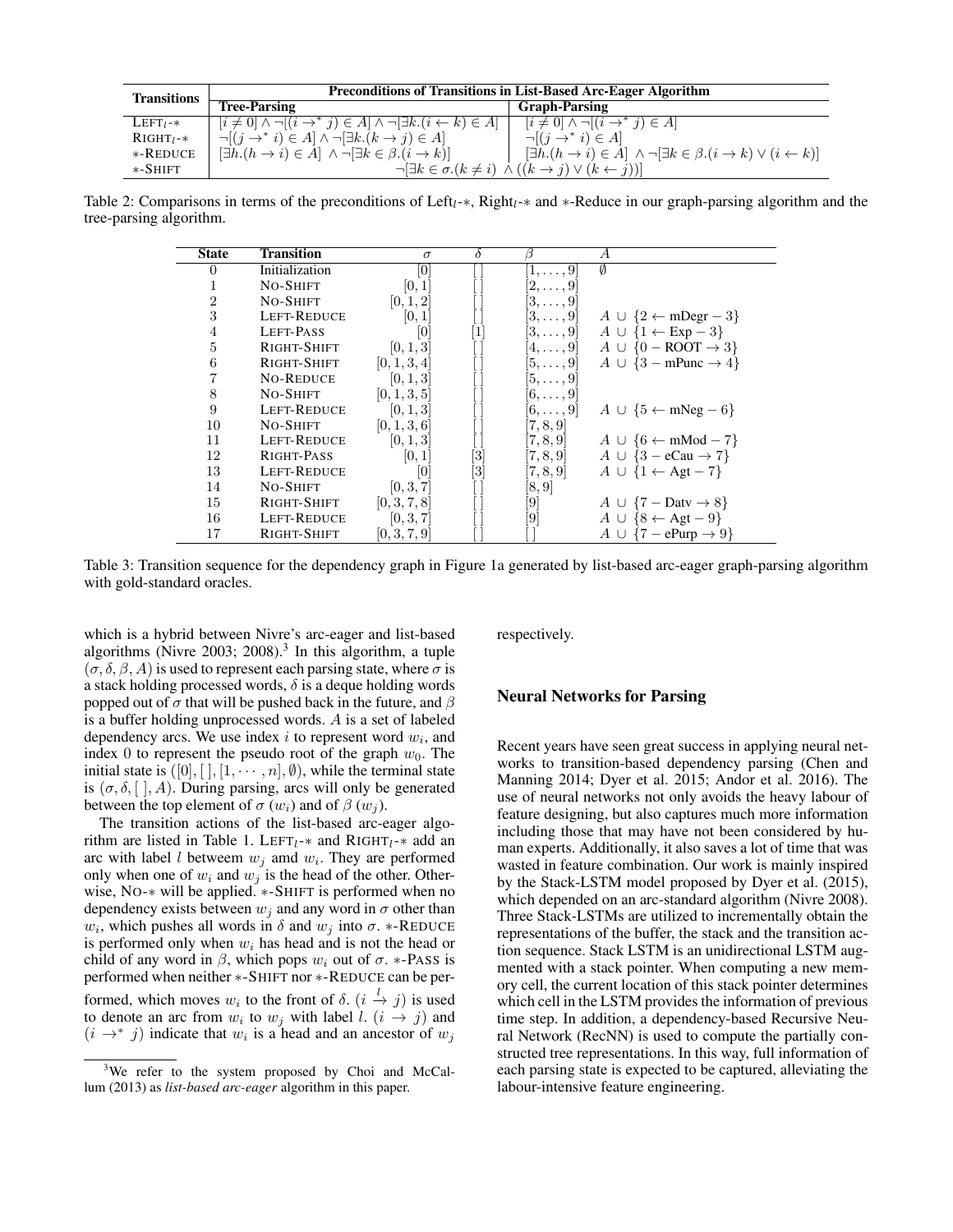| <b>Transitions</b> | <b>Preconditions of Transitions in List-Based Arc-Eager Algorithm</b>                             |                                                                                                               |  |  |  |
|--------------------|---------------------------------------------------------------------------------------------------|---------------------------------------------------------------------------------------------------------------|--|--|--|
|                    | <b>Tree-Parsing</b>                                                                               | <b>Graph-Parsing</b>                                                                                          |  |  |  |
| $LEFT_1-*$         | $[i \neq 0] \wedge \neg[(i \rightarrow^* j) \in A] \wedge \neg[\exists k.(i \leftarrow k) \in A]$ | $[i \neq 0] \wedge \neg[(i \rightarrow^* j) \in A]$                                                           |  |  |  |
| $RIGHT_1-*$        | $\neg[(j \rightarrow^* i) \in A] \land \neg[\exists k.(k \rightarrow j) \in A]$                   | $\neg[(j \rightarrow^* i) \in A]$                                                                             |  |  |  |
| $*$ -REDUCE        | $[\exists h.(h \rightarrow i) \in A] \land \neg[\exists k \in \beta.(i \rightarrow k)]$           | $[\exists h.(h \rightarrow i) \in A] \land \neg[\exists k \in \beta.(i \rightarrow k) \lor (i \leftarrow k)]$ |  |  |  |
| $*$ -Shift         |                                                                                                   | $\neg[\exists k \in \sigma.(k \neq i) \land ((k \rightarrow j) \lor (k \leftarrow j))]$                       |  |  |  |

Table 2: Comparisons in terms of the preconditions of Left<sub>l</sub>-\*, Right<sub>l</sub>-\* and \*-Reduce in our graph-parsing algorithm and the tree-parsing algorithm.

| <b>State</b>   | <b>Transition</b>  | $\sigma$     | $\delta$                                                                                                                                                                                                                                                                                                                                                                                                                                                  | ß                    | $\overline{A}$                              |
|----------------|--------------------|--------------|-----------------------------------------------------------------------------------------------------------------------------------------------------------------------------------------------------------------------------------------------------------------------------------------------------------------------------------------------------------------------------------------------------------------------------------------------------------|----------------------|---------------------------------------------|
| $\Omega$       | Initialization     | 10           |                                                                                                                                                                                                                                                                                                                                                                                                                                                           | $\ket{1,\ldots,9}$   | Ø                                           |
| 1              | NO-SHIFT           | [0, 1]       |                                                                                                                                                                                                                                                                                                                                                                                                                                                           | $ 2,\ldots,9\rangle$ |                                             |
| $\overline{2}$ | NO-SHIFT           | [0, 1, 2]    |                                                                                                                                                                                                                                                                                                                                                                                                                                                           | $[3,\ldots,9]$       |                                             |
| 3              | <b>LEFT-REDUCE</b> | [0, 1]       |                                                                                                                                                                                                                                                                                                                                                                                                                                                           | $[3,\ldots,9]$       | $A \cup \{2 \leftarrow m \text{Degr} - 3\}$ |
| $\overline{4}$ | <b>LEFT-PASS</b>   | 10           | $[1] % \includegraphics[width=0.9\columnwidth]{figures/fig_10.pdf} \caption{The graph $\mathcal{N}_1$ is a function of the parameter $\mathcal{N}_1$ and the number of parameters $\mathcal{N}_2$ is a function of the parameter $\mathcal{N}_1$ and the number of parameters $\mathcal{N}_2$ is a function of the parameter $\mathcal{N}_1$ and the number of parameters $\mathcal{N}_2$ is a function of the parameter $\mathcal{N}_1$.} \label{fig:1}$ | $[3,\ldots,9]$       | $A \cup \{1 \leftarrow \text{Exp}-3\}$      |
| $\overline{5}$ | RIGHT-SHIFT        | [0, 1, 3]    |                                                                                                                                                                                                                                                                                                                                                                                                                                                           | $[4,\ldots,9]$       | $A \cup \{0 - \text{ROOT} \rightarrow 3\}$  |
| 6              | RIGHT-SHIFT        | [0, 1, 3, 4] |                                                                                                                                                                                                                                                                                                                                                                                                                                                           | $[5,\ldots,9]$       | $A \cup \{3 - m$ Punc $\rightarrow 4\}$     |
|                | <b>NO-REDUCE</b>   | [0, 1, 3]    |                                                                                                                                                                                                                                                                                                                                                                                                                                                           | $[5,\ldots,9]$       |                                             |
| 8              | NO-SHIFT           | [0, 1, 3, 5] |                                                                                                                                                                                                                                                                                                                                                                                                                                                           | $[6,\ldots,9]$       |                                             |
| 9              | LEFT-REDUCE        | [0, 1, 3]    |                                                                                                                                                                                                                                                                                                                                                                                                                                                           | $[6,\ldots,9]$       | $A \cup \{5 \leftarrow mNeg - 6\}$          |
| 10             | NO-SHIFT           | [0, 1, 3, 6] |                                                                                                                                                                                                                                                                                                                                                                                                                                                           | [7, 8, 9]            |                                             |
| 11             | <b>LEFT-REDUCE</b> | [0, 1, 3]    |                                                                                                                                                                                                                                                                                                                                                                                                                                                           | [7, 8, 9]            | $A \cup \{6 \leftarrow \text{mMod} - 7\}$   |
| 12             | RIGHT-PASS         | [0, 1]       | [3]                                                                                                                                                                                                                                                                                                                                                                                                                                                       | [7, 8, 9]            | $A \cup \{3 - eCau \rightarrow 7\}$         |
| 13             | <b>LEFT-REDUCE</b> | $ 0\rangle$  | $\left[3\right]$                                                                                                                                                                                                                                                                                                                                                                                                                                          | [7, 8, 9]            | $A \cup \{1 \leftarrow \text{Agt} - 7\}$    |
| 14             | <b>NO-SHIFT</b>    | [0, 3, 7]    |                                                                                                                                                                                                                                                                                                                                                                                                                                                           | [8, 9]               |                                             |
| 15             | RIGHT-SHIFT        | [0, 3, 7, 8] |                                                                                                                                                                                                                                                                                                                                                                                                                                                           | [9]                  | $A \cup \{7 - \text{Datv} \rightarrow 8\}$  |
| 16             | <b>LEFT-REDUCE</b> | [0, 3, 7]    |                                                                                                                                                                                                                                                                                                                                                                                                                                                           | [9]                  | $A \cup \{8 \leftarrow \text{Agt} - 9\}$    |
| 17             | RIGHT-SHIFT        | [0, 3, 7, 9] |                                                                                                                                                                                                                                                                                                                                                                                                                                                           |                      | $A \cup \{7 - ePurp \rightarrow 9\}$        |

Table 3: Transition sequence for the dependency graph in Figure 1a generated by list-based arc-eager graph-parsing algorithm with gold-standard oracles.

which is a hybrid between Nivre's arc-eager and list-based algorithms (Nivre 2003; 2008).<sup>3</sup> In this algorithm, a tuple  $(\sigma, \delta, \beta, A)$  is used to represent each parsing state, where  $\sigma$  is a stack holding processed words,  $\delta$  is a deque holding words popped out of  $\sigma$  that will be pushed back in the future, and  $\beta$ is a buffer holding unprocessed words. A is a set of labeled dependency arcs. We use index  $i$  to represent word  $w_i$ , and index 0 to represent the pseudo root of the graph  $w_0$ . The initial state is  $([0], [1], [1, \cdots, n], \emptyset)$ , while the terminal state is  $(\sigma, \delta, [\ ], A)$ . During parsing, arcs will only be generated between the top element of  $\sigma(w_i)$  and of  $\beta(w_i)$ .

The transition actions of the list-based arc-eager algorithm are listed in Table 1. LEFT<sub>l</sub>- $*$  and RIGHT<sub>l</sub>- $*$  add an arc with label *l* betweem  $w_j$  amd  $w_i$ . They are performed only when one of  $w_i$  and  $w_j$  is the head of the other. Otherwise, NO-∗ will be applied. ∗-SHIFT is performed when no dependency exists between  $w_i$  and any word in  $\sigma$  other than  $w_i$ , which pushes all words in  $\delta$  and  $w_j$  into  $\sigma$ . \*-REDUCE is performed only when  $w_i$  has head and is not the head or child of any word in  $\beta$ , which pops  $w_i$  out of  $\sigma$ . \*-PASS is performed when neither ∗-SHIFT nor ∗-REDUCE can be performed, which moves  $w_i$  to the front of  $\delta$ .  $(i \stackrel{l}{\to} j)$  is used to denote an arc from  $w_i$  to  $w_j$  with label l.  $(i \rightarrow j)$  and  $(i \rightarrow^* j)$  indicate that  $w_i$  is a head and an ancestor of  $w_j$ 

respectively.

# Neural Networks for Parsing

Recent years have seen great success in applying neural networks to transition-based dependency parsing (Chen and Manning 2014; Dyer et al. 2015; Andor et al. 2016). The use of neural networks not only avoids the heavy labour of feature designing, but also captures much more information including those that may have not been considered by human experts. Additionally, it also saves a lot of time that was wasted in feature combination. Our work is mainly inspired by the Stack-LSTM model proposed by Dyer et al. (2015), which depended on an arc-standard algorithm (Nivre 2008). Three Stack-LSTMs are utilized to incrementally obtain the representations of the buffer, the stack and the transition action sequence. Stack LSTM is an unidirectional LSTM augmented with a stack pointer. When computing a new memory cell, the current location of this stack pointer determines which cell in the LSTM provides the information of previous time step. In addition, a dependency-based Recursive Neural Network (RecNN) is used to compute the partially constructed tree representations. In this way, full information of each parsing state is expected to be captured, alleviating the labour-intensive feature engineering.

<sup>&</sup>lt;sup>3</sup>We refer to the system proposed by Choi and McCallum (2013) as *list-based arc-eager* algorithm in this paper.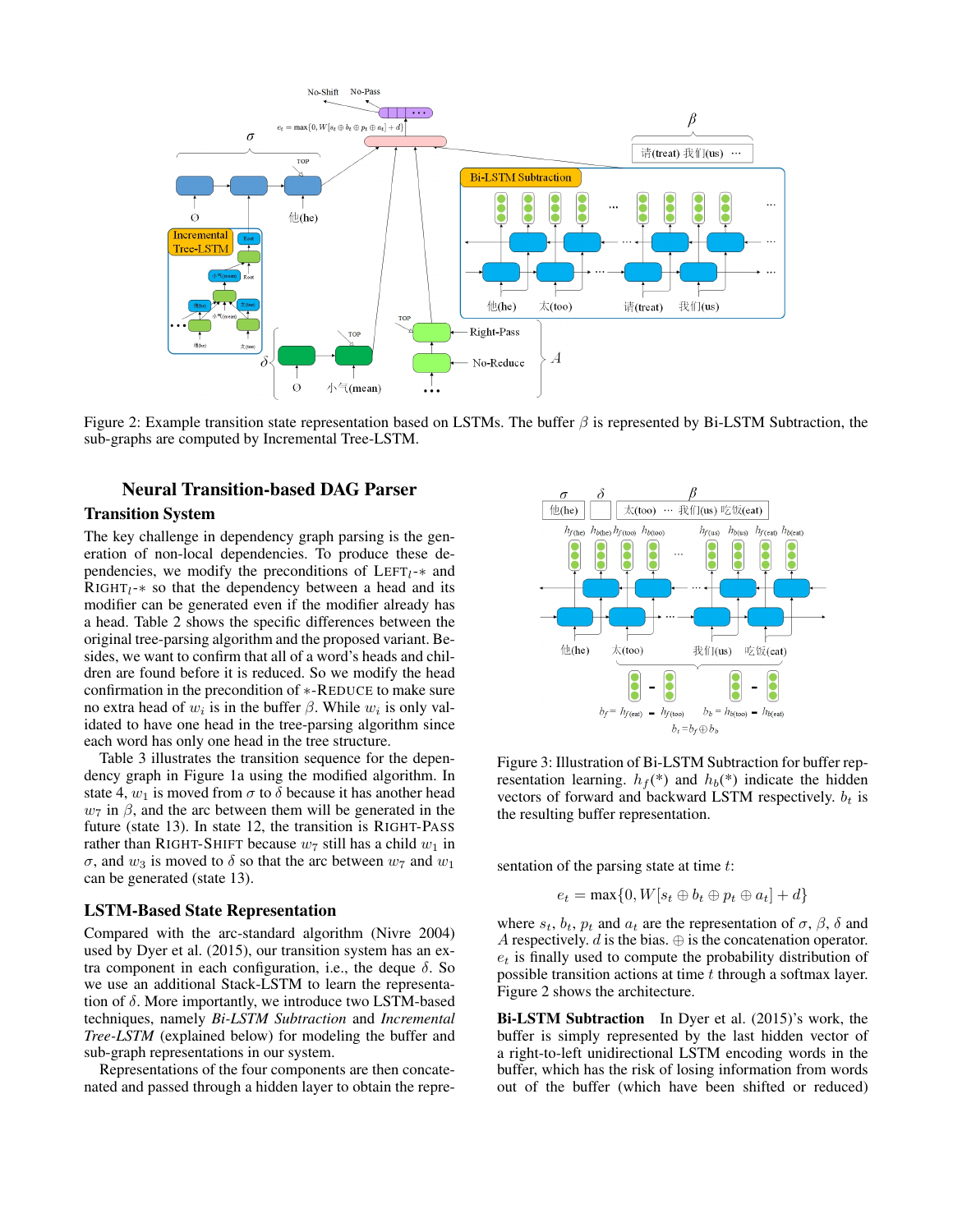

Figure 2: Example transition state representation based on LSTMs. The buffer  $\beta$  is represented by Bi-LSTM Subtraction, the sub-graphs are computed by Incremental Tree-LSTM.

# Neural Transition-based DAG Parser

# Transition System

The key challenge in dependency graph parsing is the generation of non-local dependencies. To produce these dependencies, we modify the preconditions of  $LEFT_1-*$  and RIGHT<sub>l</sub>- $*$  so that the dependency between a head and its modifier can be generated even if the modifier already has a head. Table 2 shows the specific differences between the original tree-parsing algorithm and the proposed variant. Besides, we want to confirm that all of a word's heads and children are found before it is reduced. So we modify the head confirmation in the precondition of ∗-REDUCE to make sure no extra head of  $w_i$  is in the buffer  $\beta$ . While  $w_i$  is only validated to have one head in the tree-parsing algorithm since each word has only one head in the tree structure.

Table 3 illustrates the transition sequence for the dependency graph in Figure 1a using the modified algorithm. In state 4,  $w_1$  is moved from  $\sigma$  to  $\delta$  because it has another head  $w_7$  in  $\beta$ , and the arc between them will be generated in the future (state 13). In state 12, the transition is RIGHT-PASS rather than RIGHT-SHIFT because  $w_7$  still has a child  $w_1$  in σ, and  $w_3$  is moved to δ so that the arc between  $w_7$  and  $w_1$ can be generated (state 13).

#### LSTM-Based State Representation

Compared with the arc-standard algorithm (Nivre 2004) used by Dyer et al. (2015), our transition system has an extra component in each configuration, i.e., the deque  $\delta$ . So we use an additional Stack-LSTM to learn the representation of  $\delta$ . More importantly, we introduce two LSTM-based techniques, namely *Bi-LSTM Subtraction* and *Incremental Tree-LSTM* (explained below) for modeling the buffer and sub-graph representations in our system.

Representations of the four components are then concatenated and passed through a hidden layer to obtain the repre-



Figure 3: Illustration of Bi-LSTM Subtraction for buffer representation learning.  $h_f$ <sup>(\*)</sup> and  $h_b$ <sup>(\*)</sup> indicate the hidden vectors of forward and backward LSTM respectively.  $b_t$  is the resulting buffer representation.

sentation of the parsing state at time t:

$$
e_t = \max\{0, W[s_t \oplus b_t \oplus p_t \oplus a_t] + d\}
$$

where  $s_t$ ,  $b_t$ ,  $p_t$  and  $a_t$  are the representation of  $\sigma$ ,  $\beta$ ,  $\delta$  and A respectively.  $d$  is the bias.  $\oplus$  is the concatenation operator.  $e_t$  is finally used to compute the probability distribution of possible transition actions at time  $t$  through a softmax layer. Figure 2 shows the architecture.

Bi-LSTM Subtraction In Dyer et al. (2015)'s work, the buffer is simply represented by the last hidden vector of a right-to-left unidirectional LSTM encoding words in the buffer, which has the risk of losing information from words out of the buffer (which have been shifted or reduced)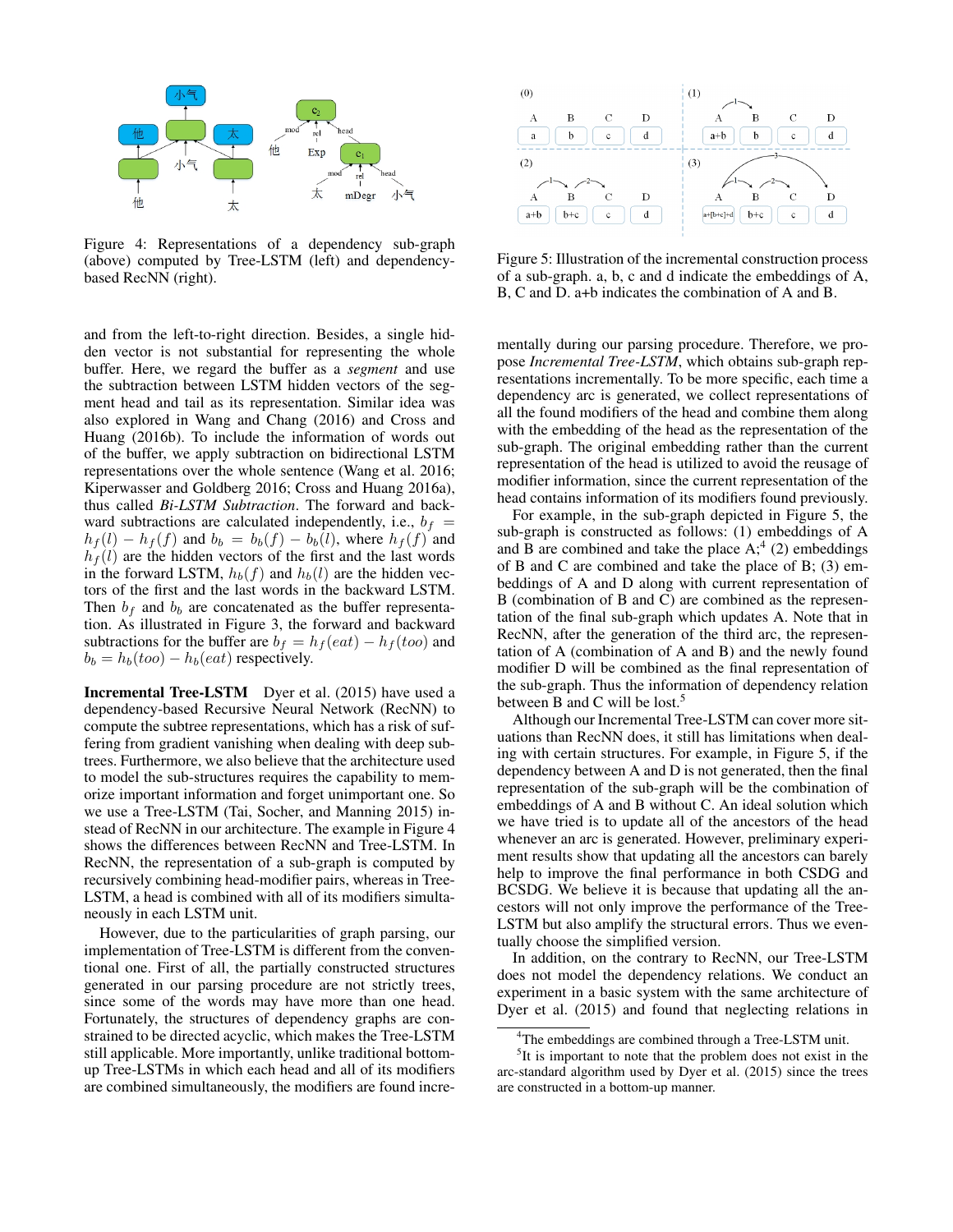

Figure 4: Representations of a dependency sub-graph (above) computed by Tree-LSTM (left) and dependencybased RecNN (right).

and from the left-to-right direction. Besides, a single hidden vector is not substantial for representing the whole buffer. Here, we regard the buffer as a *segment* and use the subtraction between LSTM hidden vectors of the segment head and tail as its representation. Similar idea was also explored in Wang and Chang (2016) and Cross and Huang (2016b). To include the information of words out of the buffer, we apply subtraction on bidirectional LSTM representations over the whole sentence (Wang et al. 2016; Kiperwasser and Goldberg 2016; Cross and Huang 2016a), thus called *Bi-LSTM Subtraction*. The forward and backward subtractions are calculated independently, i.e.,  $b_f$  =  $h_f(l) - h_f(f)$  and  $b_b = b_b(f) - b_b(l)$ , where  $h_f(f)$  and  $h_f(l)$  are the hidden vectors of the first and the last words in the forward LSTM,  $h_b(f)$  and  $h_b(l)$  are the hidden vectors of the first and the last words in the backward LSTM. Then  $b_f$  and  $b_b$  are concatenated as the buffer representation. As illustrated in Figure 3, the forward and backward subtractions for the buffer are  $b_f = h_f (eat) - h_f (too)$  and  $b_b = h_b(too) - h_b(eat)$  respectively.

Incremental Tree-LSTM Dyer et al. (2015) have used a dependency-based Recursive Neural Network (RecNN) to compute the subtree representations, which has a risk of suffering from gradient vanishing when dealing with deep subtrees. Furthermore, we also believe that the architecture used to model the sub-structures requires the capability to memorize important information and forget unimportant one. So we use a Tree-LSTM (Tai, Socher, and Manning 2015) instead of RecNN in our architecture. The example in Figure 4 shows the differences between RecNN and Tree-LSTM. In RecNN, the representation of a sub-graph is computed by recursively combining head-modifier pairs, whereas in Tree-LSTM, a head is combined with all of its modifiers simultaneously in each LSTM unit.

However, due to the particularities of graph parsing, our implementation of Tree-LSTM is different from the conventional one. First of all, the partially constructed structures generated in our parsing procedure are not strictly trees, since some of the words may have more than one head. Fortunately, the structures of dependency graphs are constrained to be directed acyclic, which makes the Tree-LSTM still applicable. More importantly, unlike traditional bottomup Tree-LSTMs in which each head and all of its modifiers are combined simultaneously, the modifiers are found incre-



Figure 5: Illustration of the incremental construction process of a sub-graph. a, b, c and d indicate the embeddings of A, B, C and D. a+b indicates the combination of A and B.

mentally during our parsing procedure. Therefore, we propose *Incremental Tree-LSTM*, which obtains sub-graph representations incrementally. To be more specific, each time a dependency arc is generated, we collect representations of all the found modifiers of the head and combine them along with the embedding of the head as the representation of the sub-graph. The original embedding rather than the current representation of the head is utilized to avoid the reusage of modifier information, since the current representation of the head contains information of its modifiers found previously.

For example, in the sub-graph depicted in Figure 5, the sub-graph is constructed as follows: (1) embeddings of A and  $\overline{B}$  are combined and take the place  $A$ ;<sup>4</sup> (2) embeddings of B and C are combined and take the place of B; (3) embeddings of A and D along with current representation of B (combination of B and C) are combined as the representation of the final sub-graph which updates A. Note that in RecNN, after the generation of the third arc, the representation of A (combination of A and B) and the newly found modifier D will be combined as the final representation of the sub-graph. Thus the information of dependency relation between B and C will be lost.<sup>5</sup>

Although our Incremental Tree-LSTM can cover more situations than RecNN does, it still has limitations when dealing with certain structures. For example, in Figure 5, if the dependency between A and D is not generated, then the final representation of the sub-graph will be the combination of embeddings of A and B without C. An ideal solution which we have tried is to update all of the ancestors of the head whenever an arc is generated. However, preliminary experiment results show that updating all the ancestors can barely help to improve the final performance in both CSDG and BCSDG. We believe it is because that updating all the ancestors will not only improve the performance of the Tree-LSTM but also amplify the structural errors. Thus we eventually choose the simplified version.

In addition, on the contrary to RecNN, our Tree-LSTM does not model the dependency relations. We conduct an experiment in a basic system with the same architecture of Dyer et al. (2015) and found that neglecting relations in

<sup>&</sup>lt;sup>4</sup>The embeddings are combined through a Tree-LSTM unit.

<sup>&</sup>lt;sup>5</sup>It is important to note that the problem does not exist in the arc-standard algorithm used by Dyer et al. (2015) since the trees are constructed in a bottom-up manner.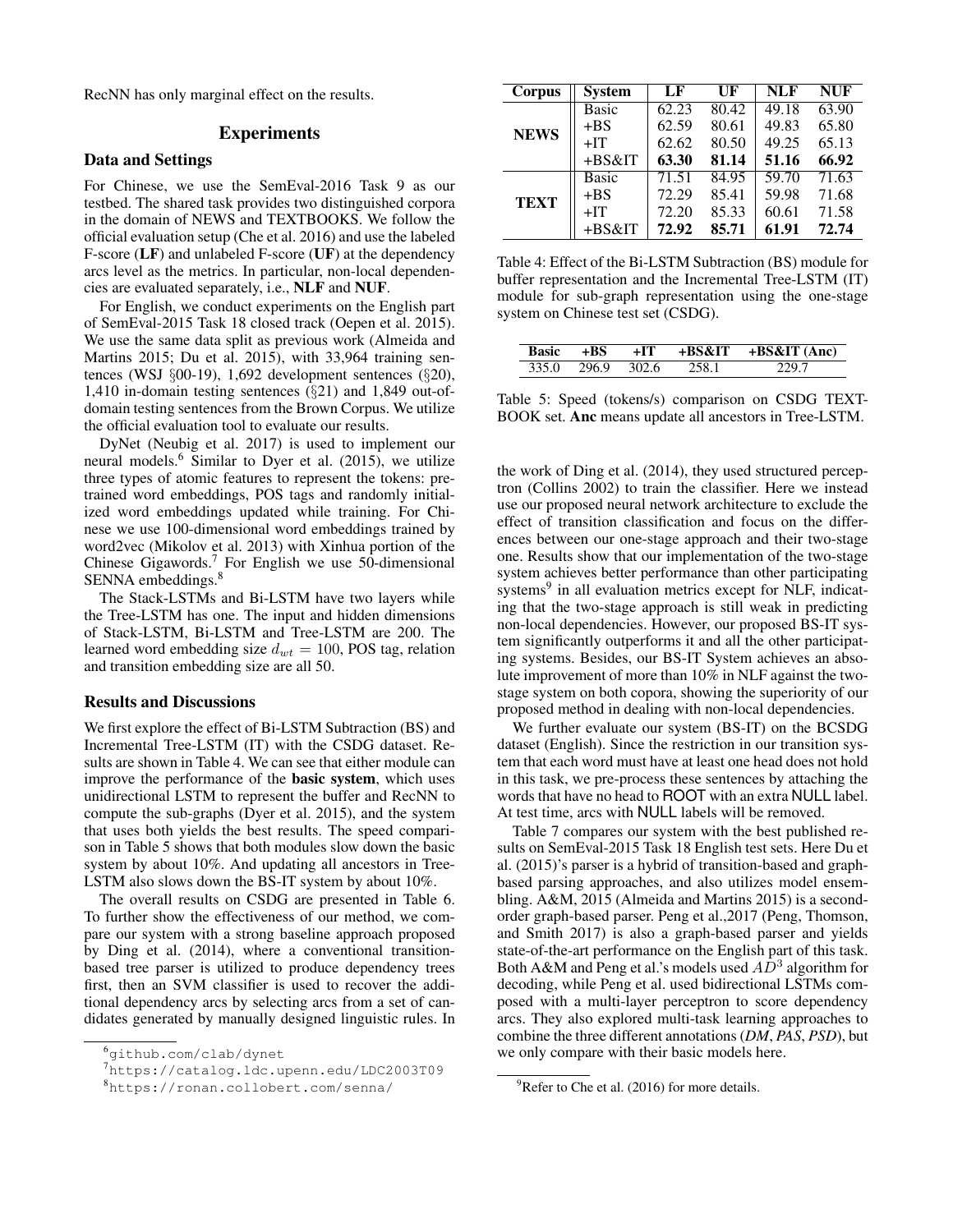RecNN has only marginal effect on the results.

# **Experiments**

#### Data and Settings

For Chinese, we use the SemEval-2016 Task 9 as our testbed. The shared task provides two distinguished corpora in the domain of NEWS and TEXTBOOKS. We follow the official evaluation setup (Che et al. 2016) and use the labeled F-score (LF) and unlabeled F-score (UF) at the dependency arcs level as the metrics. In particular, non-local dependencies are evaluated separately, i.e., NLF and NUF.

For English, we conduct experiments on the English part of SemEval-2015 Task 18 closed track (Oepen et al. 2015). We use the same data split as previous work (Almeida and Martins 2015; Du et al. 2015), with 33,964 training sentences (WSJ §00-19), 1,692 development sentences (§20), 1,410 in-domain testing sentences (§21) and 1,849 out-ofdomain testing sentences from the Brown Corpus. We utilize the official evaluation tool to evaluate our results.

DyNet (Neubig et al. 2017) is used to implement our neural models.<sup>6</sup> Similar to Dyer et al. (2015), we utilize three types of atomic features to represent the tokens: pretrained word embeddings, POS tags and randomly initialized word embeddings updated while training. For Chinese we use 100-dimensional word embeddings trained by word2vec (Mikolov et al. 2013) with Xinhua portion of the Chinese Gigawords.<sup>7</sup> For English we use 50-dimensional SENNA embeddings.<sup>8</sup>

The Stack-LSTMs and Bi-LSTM have two layers while the Tree-LSTM has one. The input and hidden dimensions of Stack-LSTM, Bi-LSTM and Tree-LSTM are 200. The learned word embedding size  $d_{wt} = 100$ , POS tag, relation and transition embedding size are all 50.

# Results and Discussions

We first explore the effect of Bi-LSTM Subtraction (BS) and Incremental Tree-LSTM (IT) with the CSDG dataset. Results are shown in Table 4. We can see that either module can improve the performance of the basic system, which uses unidirectional LSTM to represent the buffer and RecNN to compute the sub-graphs (Dyer et al. 2015), and the system that uses both yields the best results. The speed comparison in Table 5 shows that both modules slow down the basic system by about 10%. And updating all ancestors in Tree-LSTM also slows down the BS-IT system by about 10%.

The overall results on CSDG are presented in Table 6. To further show the effectiveness of our method, we compare our system with a strong baseline approach proposed by Ding et al. (2014), where a conventional transitionbased tree parser is utilized to produce dependency trees first, then an SVM classifier is used to recover the additional dependency arcs by selecting arcs from a set of candidates generated by manually designed linguistic rules. In

| Corpus      | <b>System</b> | LF    | UF    | <b>NLF</b> | <b>NUF</b> |
|-------------|---------------|-------|-------|------------|------------|
|             | <b>Basic</b>  | 62.23 | 80.42 | 49.18      | 63.90      |
|             | $+BS$         | 62.59 | 80.61 | 49.83      | 65.80      |
| <b>NEWS</b> | $+IT$         | 62.62 | 80.50 | 49.25      | 65.13      |
|             | +BS&IT        | 63.30 | 81.14 | 51.16      | 66.92      |
| <b>TEXT</b> | <b>Basic</b>  | 71.51 | 84.95 | 59.70      | 71.63      |
|             | $+BS$         | 72.29 | 85.41 | 59.98      | 71.68      |
|             | $+IT$         | 72.20 | 85.33 | 60.61      | 71.58      |
|             | $+BS&IT$      | 72.92 | 85.71 | 61.91      | 72.74      |

Table 4: Effect of the Bi-LSTM Subtraction (BS) module for buffer representation and the Incremental Tree-LSTM (IT) module for sub-graph representation using the one-stage system on Chinese test set (CSDG).

| <b>Basic</b> |       | $+1T$ | +BS&IT | $+BS&IT(Anc)$ |
|--------------|-------|-------|--------|---------------|
| 335 O        | 296.9 | 302.6 |        |               |

Table 5: Speed (tokens/s) comparison on CSDG TEXT-BOOK set. Anc means update all ancestors in Tree-LSTM.

the work of Ding et al. (2014), they used structured perceptron (Collins 2002) to train the classifier. Here we instead use our proposed neural network architecture to exclude the effect of transition classification and focus on the differences between our one-stage approach and their two-stage one. Results show that our implementation of the two-stage system achieves better performance than other participating systems<sup>9</sup> in all evaluation metrics except for NLF, indicating that the two-stage approach is still weak in predicting non-local dependencies. However, our proposed BS-IT system significantly outperforms it and all the other participating systems. Besides, our BS-IT System achieves an absolute improvement of more than 10% in NLF against the twostage system on both copora, showing the superiority of our proposed method in dealing with non-local dependencies.

We further evaluate our system (BS-IT) on the BCSDG dataset (English). Since the restriction in our transition system that each word must have at least one head does not hold in this task, we pre-process these sentences by attaching the words that have no head to ROOT with an extra NULL label. At test time, arcs with NULL labels will be removed.

Table 7 compares our system with the best published results on SemEval-2015 Task 18 English test sets. Here Du et al. (2015)'s parser is a hybrid of transition-based and graphbased parsing approaches, and also utilizes model ensembling. A&M, 2015 (Almeida and Martins 2015) is a secondorder graph-based parser. Peng et al.,2017 (Peng, Thomson, and Smith 2017) is also a graph-based parser and yields state-of-the-art performance on the English part of this task. Both A&M and Peng et al.'s models used  $A\overline{D}^3$  algorithm for decoding, while Peng et al. used bidirectional LSTMs composed with a multi-layer perceptron to score dependency arcs. They also explored multi-task learning approaches to combine the three different annotations (*DM*, *PAS*, *PSD*), but we only compare with their basic models here.

<sup>6</sup>github.com/clab/dynet

<sup>7</sup>https://catalog.ldc.upenn.edu/LDC2003T09

<sup>8</sup>https://ronan.collobert.com/senna/

 $^{9}$ Refer to Che et al. (2016) for more details.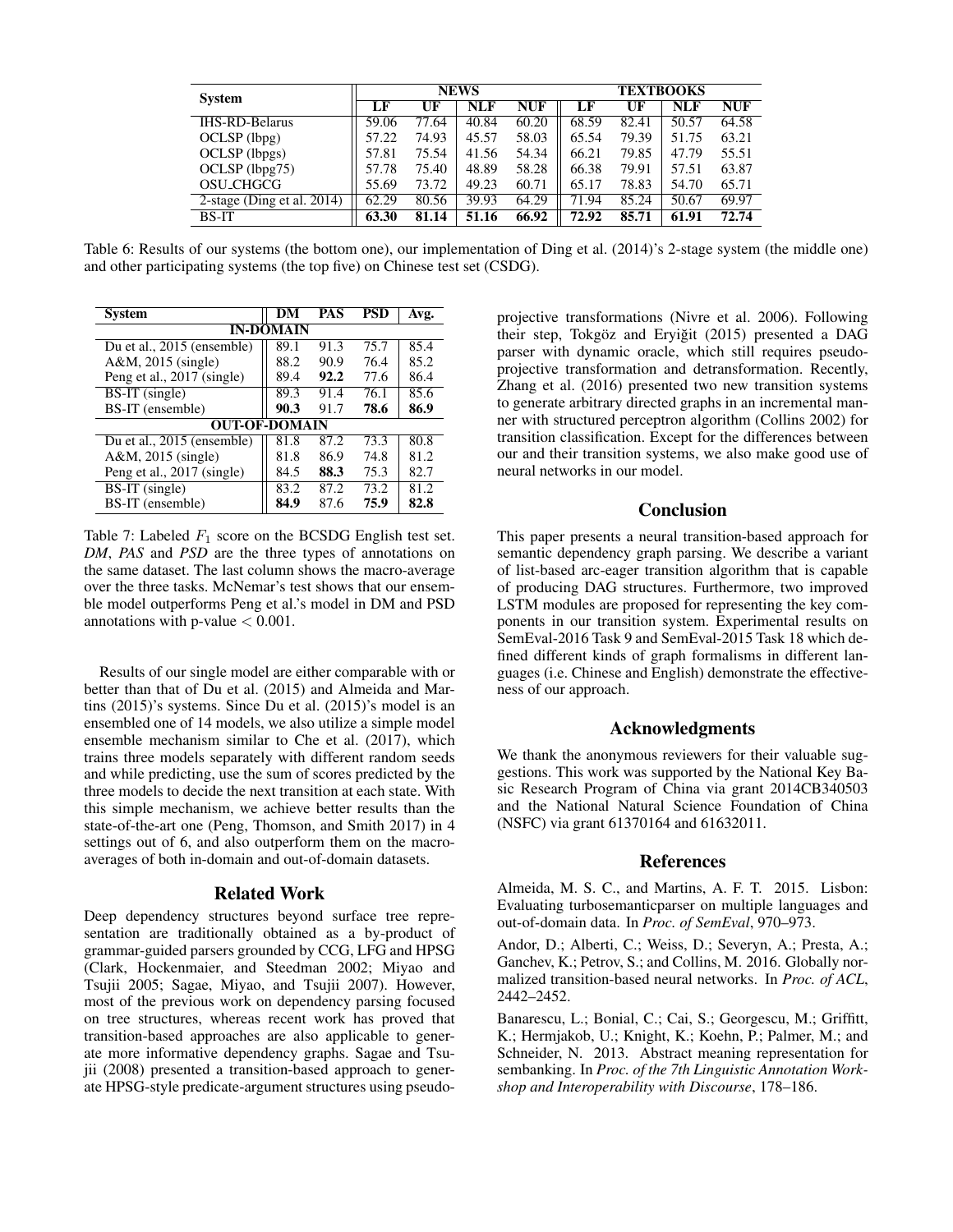| <b>System</b>                 | <b>NEWS</b> |       |       |            | <b>TEXTBOOKS</b> |       |            |            |
|-------------------------------|-------------|-------|-------|------------|------------------|-------|------------|------------|
|                               | LF          | UF    | NLF   | <b>NUF</b> | LF               | UF    | <b>NLF</b> | <b>NUF</b> |
| <b>IHS-RD-Belarus</b>         | 59.06       | 77.64 | 40.84 | 60.20      | 68.59            | 82.41 | 50.57      | 64.58      |
| OCLSP (lbpg)                  | 57.22       | 74.93 | 45.57 | 58.03      | 65.54            | 79.39 | 51.75      | 63.21      |
| OCLSP (lbpgs)                 | 57.81       | 75.54 | 41.56 | 54.34      | 66.21            | 79.85 | 47.79      | 55.51      |
| OCLSP (lbpg75)                | 57.78       | 75.40 | 48.89 | 58.28      | 66.38            | 79.91 | 57.51      | 63.87      |
| OSU_CHGCG                     | 55.69       | 73.72 | 49.23 | 60.71      | 65.17            | 78.83 | 54.70      | 65.71      |
| 2-stage (Ding et al. $2014$ ) | 62.29       | 80.56 | 39.93 | 64.29      | 71.94            | 85.24 | 50.67      | 69.97      |
| <b>BS-IT</b>                  | 63.30       | 81.14 | 51.16 | 66.92      | 72.92            | 85.71 | 61.91      | 72.74      |

Table 6: Results of our systems (the bottom one), our implementation of Ding et al. (2014)'s 2-stage system (the middle one) and other participating systems (the top five) on Chinese test set (CSDG).

| <b>System</b>                           | DM   | <b>PAS</b> | PSD  | Avg. |  |  |  |
|-----------------------------------------|------|------------|------|------|--|--|--|
| <b>IN-DOMAIN</b>                        |      |            |      |      |  |  |  |
| Du et al., 2015 (ensemble)              | 89.1 | 91.3       | 75.7 | 85.4 |  |  |  |
| A&M, 2015 (single)                      | 88.2 | 90.9       | 76.4 | 85.2 |  |  |  |
| Peng et al., 2017 (single)              | 89.4 | 92.2       | 77.6 | 86.4 |  |  |  |
| BS-IT (single)                          | 89.3 | 91.4       | 76.1 | 85.6 |  |  |  |
| BS-IT (ensemble)                        | 90.3 | 91.7       | 78.6 | 86.9 |  |  |  |
| <b>OUT-OF-DOMAIN</b>                    |      |            |      |      |  |  |  |
| Du et al., $201\overline{5}$ (ensemble) | 81.8 | 87.2       | 73.3 | 80.8 |  |  |  |
| A&M, 2015 (single)                      | 81.8 | 86.9       | 74.8 | 81.2 |  |  |  |
| Peng et al., 2017 (single)              | 84.5 | 88.3       | 75.3 | 82.7 |  |  |  |
| $BS-IT$ (single)                        | 83.2 | 87.2       | 73.2 | 81.2 |  |  |  |
| BS-IT (ensemble)                        | 84.9 | 87.6       | 75.9 | 82.8 |  |  |  |

Table 7: Labeled  $F_1$  score on the BCSDG English test set. *DM*, *PAS* and *PSD* are the three types of annotations on the same dataset. The last column shows the macro-average over the three tasks. McNemar's test shows that our ensemble model outperforms Peng et al.'s model in DM and PSD annotations with p-value  $< 0.001$ .

Results of our single model are either comparable with or better than that of Du et al. (2015) and Almeida and Martins (2015)'s systems. Since Du et al. (2015)'s model is an ensembled one of 14 models, we also utilize a simple model ensemble mechanism similar to Che et al. (2017), which trains three models separately with different random seeds and while predicting, use the sum of scores predicted by the three models to decide the next transition at each state. With this simple mechanism, we achieve better results than the state-of-the-art one (Peng, Thomson, and Smith 2017) in 4 settings out of 6, and also outperform them on the macroaverages of both in-domain and out-of-domain datasets.

### Related Work

Deep dependency structures beyond surface tree representation are traditionally obtained as a by-product of grammar-guided parsers grounded by CCG, LFG and HPSG (Clark, Hockenmaier, and Steedman 2002; Miyao and Tsujii 2005; Sagae, Miyao, and Tsujii 2007). However, most of the previous work on dependency parsing focused on tree structures, whereas recent work has proved that transition-based approaches are also applicable to generate more informative dependency graphs. Sagae and Tsujii (2008) presented a transition-based approach to generate HPSG-style predicate-argument structures using pseudoprojective transformations (Nivre et al. 2006). Following their step, Tokgöz and Eryiğit (2015) presented a DAG parser with dynamic oracle, which still requires pseudoprojective transformation and detransformation. Recently, Zhang et al. (2016) presented two new transition systems to generate arbitrary directed graphs in an incremental manner with structured perceptron algorithm (Collins 2002) for transition classification. Except for the differences between our and their transition systems, we also make good use of neural networks in our model.

# Conclusion

This paper presents a neural transition-based approach for semantic dependency graph parsing. We describe a variant of list-based arc-eager transition algorithm that is capable of producing DAG structures. Furthermore, two improved LSTM modules are proposed for representing the key components in our transition system. Experimental results on SemEval-2016 Task 9 and SemEval-2015 Task 18 which defined different kinds of graph formalisms in different languages (i.e. Chinese and English) demonstrate the effectiveness of our approach.

## Acknowledgments

We thank the anonymous reviewers for their valuable suggestions. This work was supported by the National Key Basic Research Program of China via grant 2014CB340503 and the National Natural Science Foundation of China (NSFC) via grant 61370164 and 61632011.

# References

Almeida, M. S. C., and Martins, A. F. T. 2015. Lisbon: Evaluating turbosemanticparser on multiple languages and out-of-domain data. In *Proc. of SemEval*, 970–973.

Andor, D.; Alberti, C.; Weiss, D.; Severyn, A.; Presta, A.; Ganchev, K.; Petrov, S.; and Collins, M. 2016. Globally normalized transition-based neural networks. In *Proc. of ACL*, 2442–2452.

Banarescu, L.; Bonial, C.; Cai, S.; Georgescu, M.; Griffitt, K.; Hermjakob, U.; Knight, K.; Koehn, P.; Palmer, M.; and Schneider, N. 2013. Abstract meaning representation for sembanking. In *Proc. of the 7th Linguistic Annotation Workshop and Interoperability with Discourse*, 178–186.